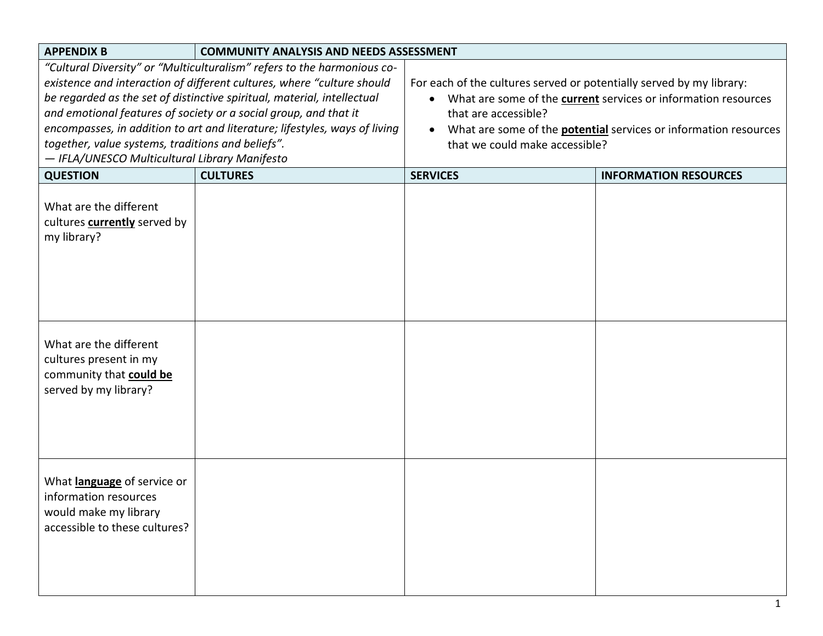| <b>APPENDIX B</b><br><b>COMMUNITY ANALYSIS AND NEEDS ASSESSMENT</b>                                                                                                                                                                                                                                                                                                                                                                                                                  |                 |                                                                                                                                                                                                                                                                               |                              |  |
|--------------------------------------------------------------------------------------------------------------------------------------------------------------------------------------------------------------------------------------------------------------------------------------------------------------------------------------------------------------------------------------------------------------------------------------------------------------------------------------|-----------------|-------------------------------------------------------------------------------------------------------------------------------------------------------------------------------------------------------------------------------------------------------------------------------|------------------------------|--|
| "Cultural Diversity" or "Multiculturalism" refers to the harmonious co-<br>existence and interaction of different cultures, where "culture should<br>be regarded as the set of distinctive spiritual, material, intellectual<br>and emotional features of society or a social group, and that it<br>encompasses, in addition to art and literature; lifestyles, ways of living<br>together, value systems, traditions and beliefs".<br>- IFLA/UNESCO Multicultural Library Manifesto |                 | For each of the cultures served or potentially served by my library:<br>• What are some of the current services or information resources<br>that are accessible?<br>What are some of the <b>potential</b> services or information resources<br>that we could make accessible? |                              |  |
| <b>QUESTION</b>                                                                                                                                                                                                                                                                                                                                                                                                                                                                      | <b>CULTURES</b> | <b>SERVICES</b>                                                                                                                                                                                                                                                               | <b>INFORMATION RESOURCES</b> |  |
| What are the different<br>cultures <b>currently</b> served by<br>my library?                                                                                                                                                                                                                                                                                                                                                                                                         |                 |                                                                                                                                                                                                                                                                               |                              |  |
| What are the different<br>cultures present in my<br>community that could be<br>served by my library?                                                                                                                                                                                                                                                                                                                                                                                 |                 |                                                                                                                                                                                                                                                                               |                              |  |
| What language of service or<br>information resources<br>would make my library<br>accessible to these cultures?                                                                                                                                                                                                                                                                                                                                                                       |                 |                                                                                                                                                                                                                                                                               |                              |  |